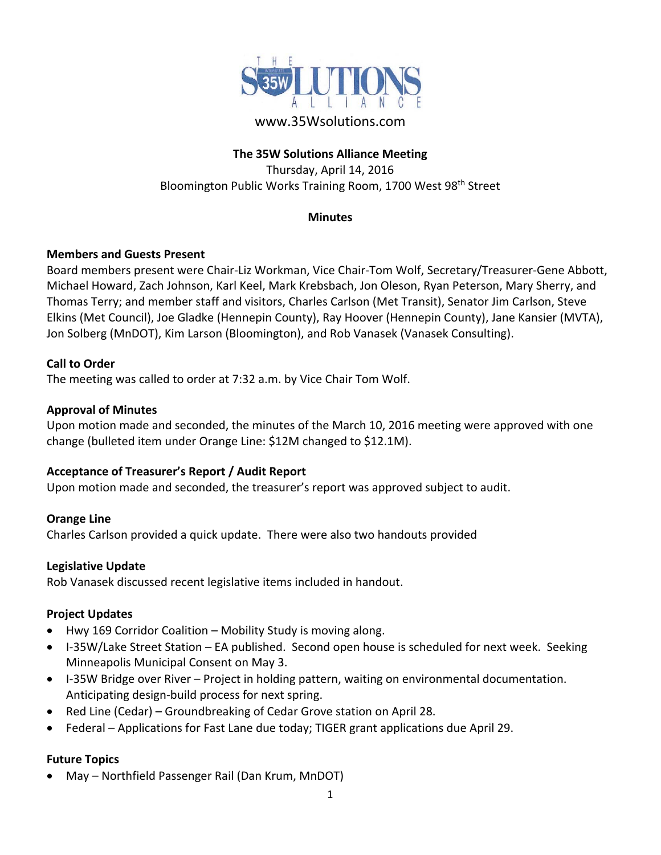

## www.35Wsolutions.com

## **The 35W Solutions Alliance Meeting**

Thursday, April 14, 2016 Bloomington Public Works Training Room, 1700 West 98th Street

#### **Minutes**

## **Members and Guests Present**

Board members present were Chair‐Liz Workman, Vice Chair‐Tom Wolf, Secretary/Treasurer‐Gene Abbott, Michael Howard, Zach Johnson, Karl Keel, Mark Krebsbach, Jon Oleson, Ryan Peterson, Mary Sherry, and Thomas Terry; and member staff and visitors, Charles Carlson (Met Transit), Senator Jim Carlson, Steve Elkins (Met Council), Joe Gladke (Hennepin County), Ray Hoover (Hennepin County), Jane Kansier (MVTA), Jon Solberg (MnDOT), Kim Larson (Bloomington), and Rob Vanasek (Vanasek Consulting).

## **Call to Order**

The meeting was called to order at 7:32 a.m. by Vice Chair Tom Wolf.

#### **Approval of Minutes**

Upon motion made and seconded, the minutes of the March 10, 2016 meeting were approved with one change (bulleted item under Orange Line: \$12M changed to \$12.1M).

## **Acceptance of Treasurer's Report / Audit Report**

Upon motion made and seconded, the treasurer's report was approved subject to audit.

## **Orange Line**

Charles Carlson provided a quick update. There were also two handouts provided

#### **Legislative Update**

Rob Vanasek discussed recent legislative items included in handout.

#### **Project Updates**

- Hwy 169 Corridor Coalition Mobility Study is moving along.
- I-35W/Lake Street Station EA published. Second open house is scheduled for next week. Seeking Minneapolis Municipal Consent on May 3.
- I-35W Bridge over River Project in holding pattern, waiting on environmental documentation. Anticipating design‐build process for next spring.
- Red Line (Cedar) Groundbreaking of Cedar Grove station on April 28.
- Federal Applications for Fast Lane due today; TIGER grant applications due April 29.

## **Future Topics**

May – Northfield Passenger Rail (Dan Krum, MnDOT)